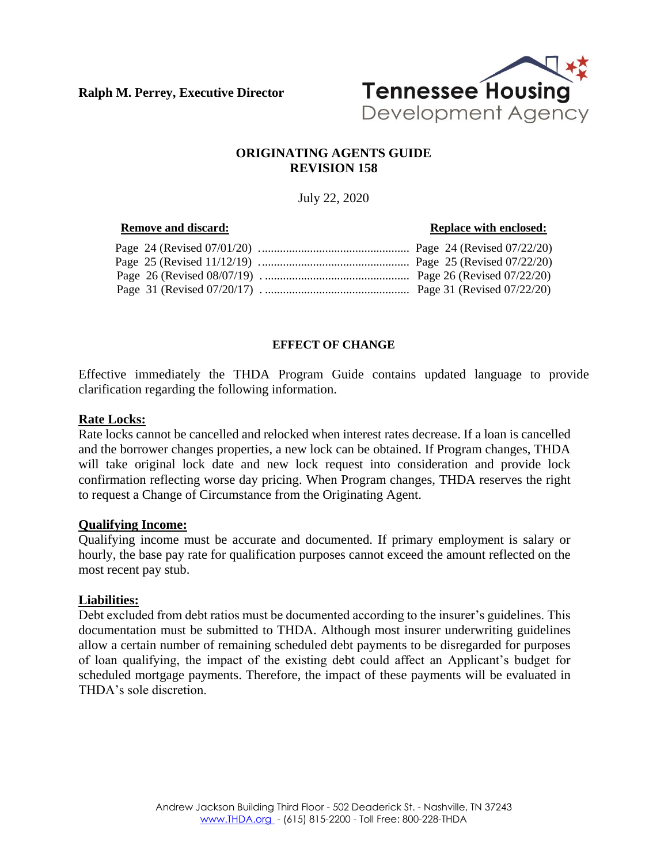**Ralph M. Perrey, Executive Director**



# **ORIGINATING AGENTS GUIDE REVISION 158**

July 22, 2020

| <b>Remove and discard:</b> | <b>Replace with enclosed:</b> |
|----------------------------|-------------------------------|
|                            |                               |
|                            |                               |
|                            |                               |
|                            |                               |

# **EFFECT OF CHANGE**

Effective immediately the THDA Program Guide contains updated language to provide clarification regarding the following information.

#### **Rate Locks:**

Rate locks cannot be cancelled and relocked when interest rates decrease. If a loan is cancelled and the borrower changes properties, a new lock can be obtained. If Program changes, THDA will take original lock date and new lock request into consideration and provide lock confirmation reflecting worse day pricing. When Program changes, THDA reserves the right to request a Change of Circumstance from the Originating Agent.

#### **Qualifying Income:**

Qualifying income must be accurate and documented. If primary employment is salary or hourly, the base pay rate for qualification purposes cannot exceed the amount reflected on the most recent pay stub.

#### **Liabilities:**

Debt excluded from debt ratios must be documented according to the insurer's guidelines. This documentation must be submitted to THDA. Although most insurer underwriting guidelines allow a certain number of remaining scheduled debt payments to be disregarded for purposes of loan qualifying, the impact of the existing debt could affect an Applicant's budget for scheduled mortgage payments. Therefore, the impact of these payments will be evaluated in THDA's sole discretion.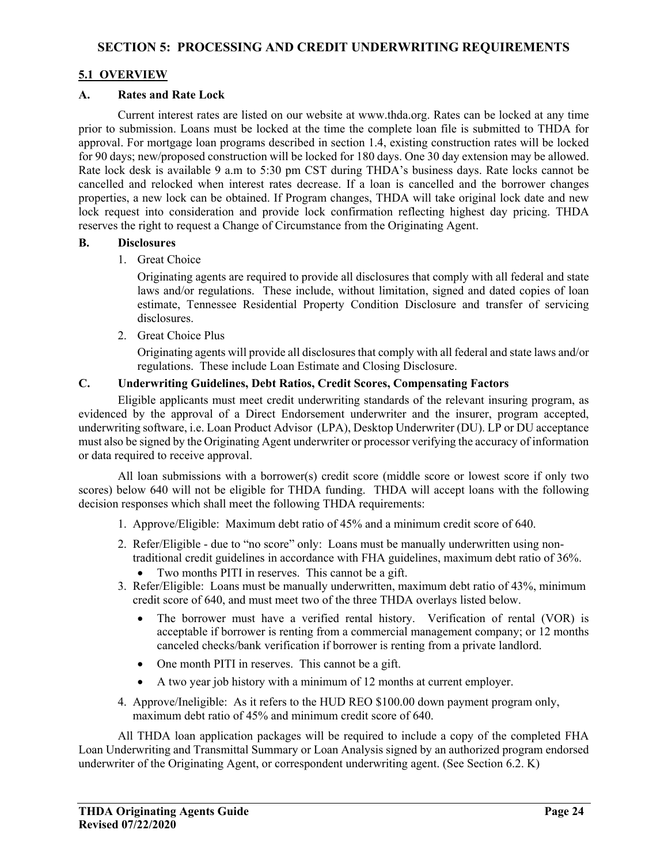# **5.1 OVERVIEW**

#### **A. Rates and Rate Lock**

Current interest rates are listed on our website at www.thda.org. Rates can be locked at any time prior to submission. Loans must be locked at the time the complete loan file is submitted to THDA for approval. For mortgage loan programs described in section 1.4, existing construction rates will be locked for 90 days; new/proposed construction will be locked for 180 days. One 30 day extension may be allowed. Rate lock desk is available 9 a.m to 5:30 pm CST during THDA's business days. Rate locks cannot be cancelled and relocked when interest rates decrease. If a loan is cancelled and the borrower changes properties, a new lock can be obtained. If Program changes, THDA will take original lock date and new lock request into consideration and provide lock confirmation reflecting highest day pricing. THDA reserves the right to request a Change of Circumstance from the Originating Agent.

#### **B. Disclosures**

1. Great Choice

Originating agents are required to provide all disclosures that comply with all federal and state laws and/or regulations. These include, without limitation, signed and dated copies of loan estimate, Tennessee Residential Property Condition Disclosure and transfer of servicing disclosures.

2. Great Choice Plus

Originating agents will provide all disclosures that comply with all federal and state laws and/or regulations. These include Loan Estimate and Closing Disclosure.

# **C. Underwriting Guidelines, Debt Ratios, Credit Scores, Compensating Factors**

Eligible applicants must meet credit underwriting standards of the relevant insuring program, as evidenced by the approval of a Direct Endorsement underwriter and the insurer, program accepted, underwriting software, i.e. Loan Product Advisor (LPA), Desktop Underwriter (DU). LP or DU acceptance must also be signed by the Originating Agent underwriter or processor verifying the accuracy of information or data required to receive approval.

All loan submissions with a borrower(s) credit score (middle score or lowest score if only two scores) below 640 will not be eligible for THDA funding. THDA will accept loans with the following decision responses which shall meet the following THDA requirements:

- 1. Approve/Eligible: Maximum debt ratio of 45% and a minimum credit score of 640.
- 2. Refer/Eligible due to "no score" only: Loans must be manually underwritten using non traditional credit guidelines in accordance with FHA guidelines, maximum debt ratio of 36%.
	- Two months PITI in reserves. This cannot be a gift.
- 3. Refer/Eligible: Loans must be manually underwritten, maximum debt ratio of 43%, minimum credit score of 640, and must meet two of the three THDA overlays listed below.
	- The borrower must have a verified rental history. Verification of rental (VOR) is acceptable if borrower is renting from a commercial management company; or 12 months canceled checks/bank verification if borrower is renting from a private landlord.
	- One month PITI in reserves. This cannot be a gift.
	- A two year job history with a minimum of 12 months at current employer.
- 4. Approve/Ineligible: As it refers to the HUD REO \$100.00 down payment program only, maximum debt ratio of 45% and minimum credit score of 640.

All THDA loan application packages will be required to include a copy of the completed FHA Loan Underwriting and Transmittal Summary or Loan Analysis signed by an authorized program endorsed underwriter of the Originating Agent, or correspondent underwriting agent. (See Section 6.2. K)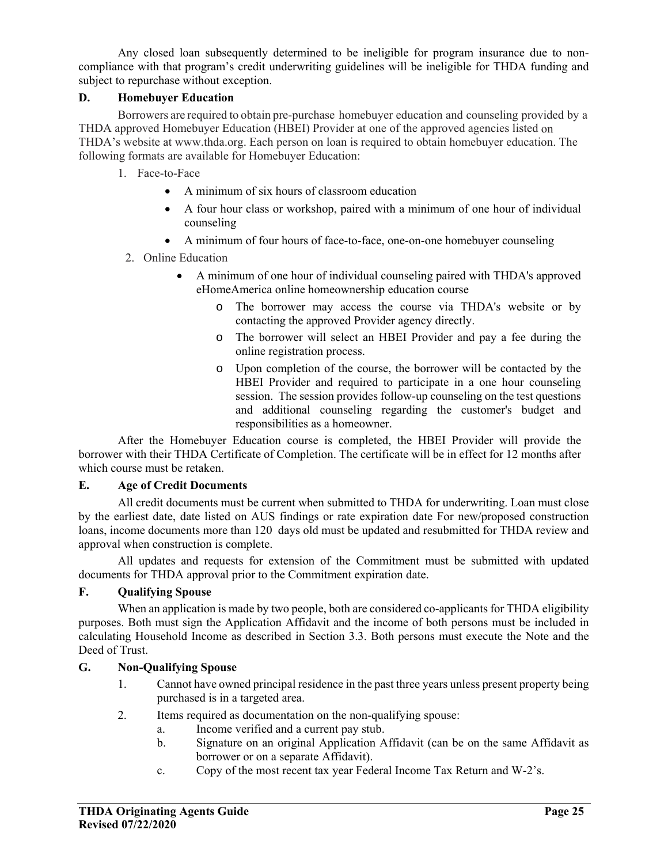Any closed loan subsequently determined to be ineligible for program insurance due to noncompliance with that program's credit underwriting guidelines will be ineligible for THDA funding and subject to repurchase without exception.

# **D. Homebuyer Education**

 Borrowers are required to obtain pre-purchase homebuyer education and counseling provided by a THDA approved Homebuyer Education (HBEI) Provider at one of the approved agencies listed on THDA's website at www.thda.org. Each person on loan is required to obtain homebuyer education. The following formats are available for Homebuyer Education:

- 1. Face-to-Face
	- A minimum of six hours of classroom education
	- A four hour class or workshop, paired with a minimum of one hour of individual counseling
	- A minimum of four hours of face-to-face, one-on-one homebuyer counseling
- 2. Online Education
	- A minimum of one hour of individual counseling paired with THDA's approved eHomeAmerica online homeownership education course
		- o The borrower may access the course via THDA's website or by contacting the approved Provider agency directly.
		- o The borrower will select an HBEI Provider and pay a fee during the online registration process.
		- o Upon completion of the course, the borrower will be contacted by the HBEI Provider and required to participate in a one hour counseling session. The session provides follow-up counseling on the test questions and additional counseling regarding the customer's budget and responsibilities as a homeowner.

 After the Homebuyer Education course is completed, the HBEI Provider will provide the borrower with their THDA Certificate of Completion. The certificate will be in effect for 12 months after which course must be retaken.

#### **E. Age of Credit Documents**

All credit documents must be current when submitted to THDA for underwriting. Loan must close by the earliest date, date listed on AUS findings or rate expiration date For new/proposed construction loans, income documents more than 120 days old must be updated and resubmitted for THDA review and approval when construction is complete.

All updates and requests for extension of the Commitment must be submitted with updated documents for THDA approval prior to the Commitment expiration date.

## **F. Qualifying Spouse**

When an application is made by two people, both are considered co-applicants for THDA eligibility purposes. Both must sign the Application Affidavit and the income of both persons must be included in calculating Household Income as described in Section 3.3. Both persons must execute the Note and the Deed of Trust.

## **G. Non-Qualifying Spouse**

- 1. Cannot have owned principal residence in the past three years unless present property being purchased is in a targeted area.
- 2. Items required as documentation on the non-qualifying spouse:
	- a. Income verified and a current pay stub.
	- b. Signature on an original Application Affidavit (can be on the same Affidavit as borrower or on a separate Affidavit).
	- c. Copy of the most recent tax year Federal Income Tax Return and W-2's.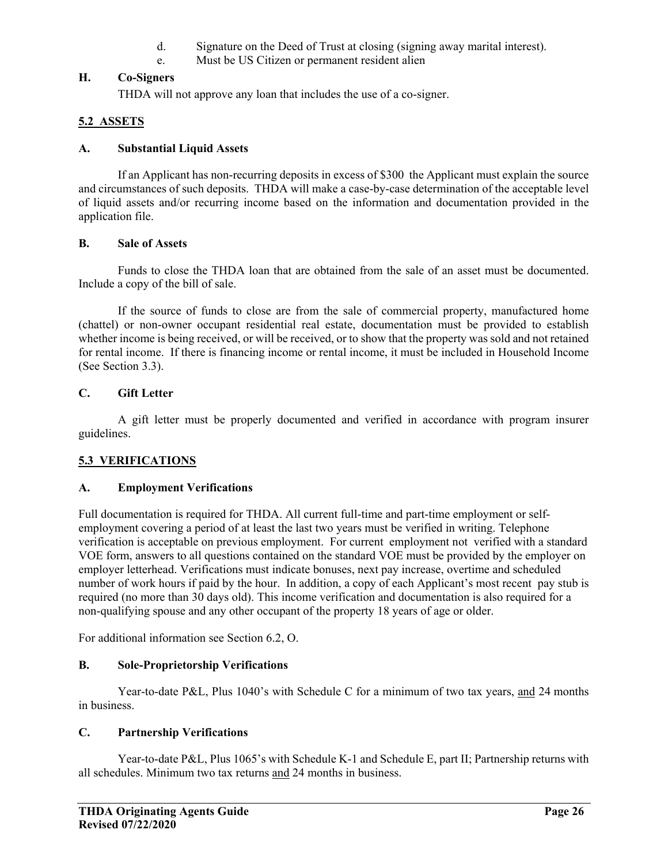- d. Signature on the Deed of Trust at closing (signing away marital interest).
- e. Must be US Citizen or permanent resident alien

## **H. Co-Signers**

THDA will not approve any loan that includes the use of a co-signer.

# **5.2 ASSETS**

## **A. Substantial Liquid Assets**

If an Applicant has non-recurring deposits in excess of \$300 the Applicant must explain the source and circumstances of such deposits. THDA will make a case-by-case determination of the acceptable level of liquid assets and/or recurring income based on the information and documentation provided in the application file.

#### **B. Sale of Assets**

Funds to close the THDA loan that are obtained from the sale of an asset must be documented. Include a copy of the bill of sale.

If the source of funds to close are from the sale of commercial property, manufactured home (chattel) or non-owner occupant residential real estate, documentation must be provided to establish whether income is being received, or will be received, or to show that the property was sold and not retained for rental income. If there is financing income or rental income, it must be included in Household Income (See Section 3.3).

## **C. Gift Letter**

A gift letter must be properly documented and verified in accordance with program insurer guidelines.

## **5.3 VERIFICATIONS**

## **A. Employment Verifications**

Full documentation is required for THDA. All current full-time and part-time employment or selfemployment covering a period of at least the last two years must be verified in writing. Telephone verification is acceptable on previous employment. For current employment not verified with a standard VOE form, answers to all questions contained on the standard VOE must be provided by the employer on employer letterhead. Verifications must indicate bonuses, next pay increase, overtime and scheduled number of work hours if paid by the hour. In addition, a copy of each Applicant's most recent pay stub is required (no more than 30 days old). This income verification and documentation is also required for a non-qualifying spouse and any other occupant of the property 18 years of age or older.

For additional information see Section 6.2, O.

## **B. Sole-Proprietorship Verifications**

Year-to-date P&L, Plus 1040's with Schedule C for a minimum of two tax years, and 24 months in business.

## **C. Partnership Verifications**

Year-to-date P&L, Plus 1065's with Schedule K-1 and Schedule E, part II; Partnership returns with all schedules. Minimum two tax returns and 24 months in business.